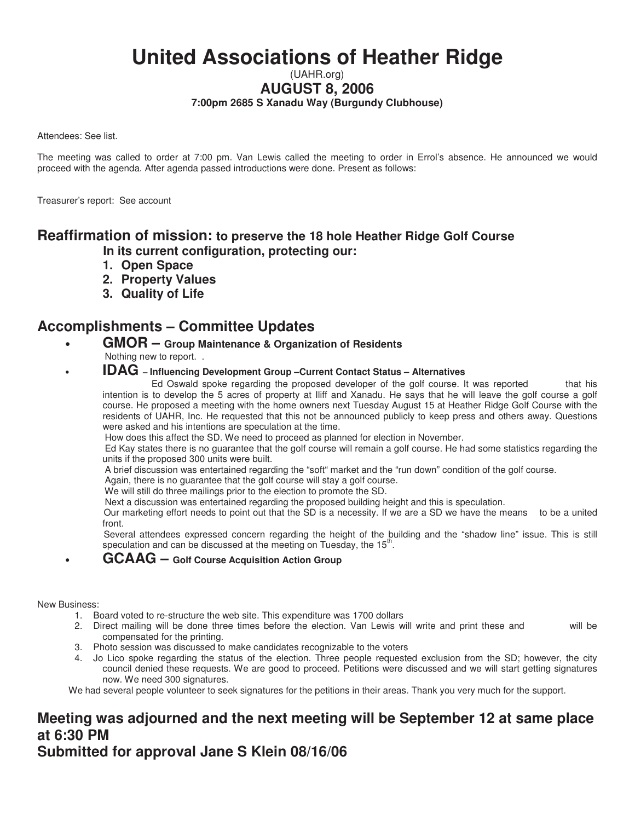# **United Associations of Heather Ridge**

### (UAHR.org) **AUGUST 8, 2006 7:00pm 2685 S Xanadu Way (Burgundy Clubhouse)**

Attendees: See list.

The meeting was called to order at 7:00 pm. Van Lewis called the meeting to order in Errol's absence. He announced we would proceed with the agenda. After agenda passed introductions were done. Present as follows:

Treasurer's report: See account

## **Reaffirmation of mission: to preserve the 18 hole Heather Ridge Golf Course**

 **In its current configuration, protecting our:** 

- **1. Open Space**
- **2. Property Values**
- **3. Quality of Life**

## **Accomplishments – Committee Updates**

- **GMOR Group Maintenance & Organization of Residents**  Nothing new to report. .
	- **IDAG Influencing Development Group –Current Contact Status Alternatives**

 Ed Oswald spoke regarding the proposed developer of the golf course. It was reported that his intention is to develop the 5 acres of property at Iliff and Xanadu. He says that he will leave the golf course a golf course. He proposed a meeting with the home owners next Tuesday August 15 at Heather Ridge Golf Course with the residents of UAHR, Inc. He requested that this not be announced publicly to keep press and others away. Questions were asked and his intentions are speculation at the time.

How does this affect the SD. We need to proceed as planned for election in November.

 Ed Kay states there is no guarantee that the golf course will remain a golf course. He had some statistics regarding the units if the proposed 300 units were built.

A brief discussion was entertained regarding the "soft" market and the "run down" condition of the golf course.

Again, there is no guarantee that the golf course will stay a golf course.

We will still do three mailings prior to the election to promote the SD.

Next a discussion was entertained regarding the proposed building height and this is speculation.

 Our marketing effort needs to point out that the SD is a necessity. If we are a SD we have the means to be a united front.

 Several attendees expressed concern regarding the height of the building and the "shadow line" issue. This is still speculation and can be discussed at the meeting on Tuesday, the 15<sup>th</sup>.

### • **GCAAG – Golf Course Acquisition Action Group**

New Business:

- 1. Board voted to re-structure the web site. This expenditure was 1700 dollars
- 2. Direct mailing will be done three times before the election. Van Lewis will write and print these and will be compensated for the printing.
- 3. Photo session was discussed to make candidates recognizable to the voters
- 4. Jo Lico spoke regarding the status of the election. Three people requested exclusion from the SD; however, the city council denied these requests. We are good to proceed. Petitions were discussed and we will start getting signatures now. We need 300 signatures.

We had several people volunteer to seek signatures for the petitions in their areas. Thank you very much for the support.

## **Meeting was adjourned and the next meeting will be September 12 at same place at 6:30 PM**

**Submitted for approval Jane S Klein 08/16/06**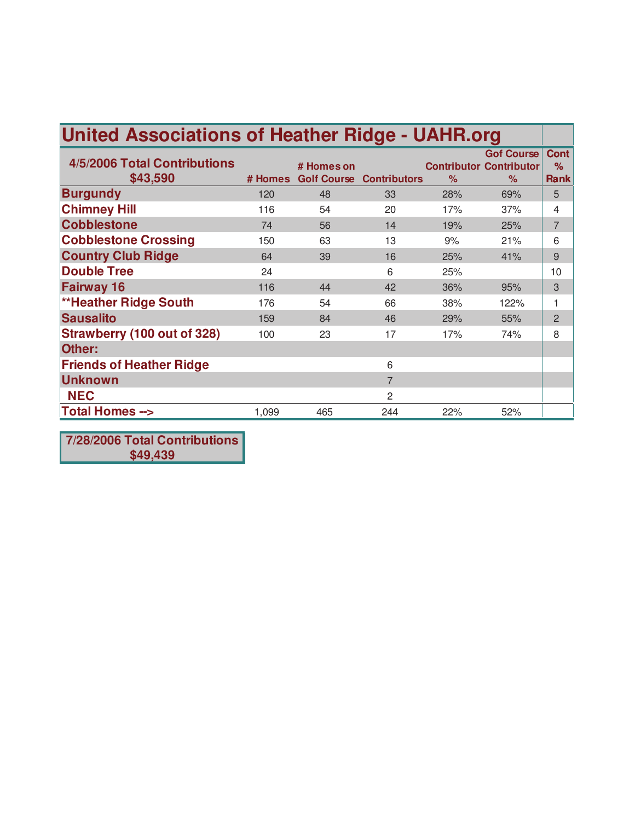| <b>United Associations of Heather Ridge - UAHR.org</b> |         |            |                                 |               |                                                             |                                 |  |
|--------------------------------------------------------|---------|------------|---------------------------------|---------------|-------------------------------------------------------------|---------------------------------|--|
| 4/5/2006 Total Contributions<br>\$43,590               | # Homes | # Homes on | <b>Golf Course Contributors</b> | $\frac{9}{6}$ | <b>Gof Course</b><br><b>Contributor Contributor</b><br>$\%$ | <b>Cont</b><br>%<br><b>Rank</b> |  |
| <b>Burgundy</b>                                        | 120     | 48         | 33                              | 28%           | 69%                                                         | 5                               |  |
| <b>Chimney Hill</b>                                    | 116     | 54         | 20                              | 17%           | 37%                                                         | 4                               |  |
| <b>Cobblestone</b>                                     | 74      | 56         | 14                              | 19%           | 25%                                                         | $\overline{7}$                  |  |
| <b>Cobblestone Crossing</b>                            | 150     | 63         | 13                              | 9%            | 21%                                                         | 6                               |  |
| <b>Country Club Ridge</b>                              | 64      | 39         | 16                              | 25%           | 41%                                                         | 9                               |  |
| <b>Double Tree</b>                                     | 24      |            | 6                               | 25%           |                                                             | 10                              |  |
| <b>Fairway 16</b>                                      | 116     | 44         | 42                              | 36%           | 95%                                                         | 3                               |  |
| <b>**Heather Ridge South</b>                           | 176     | 54         | 66                              | 38%           | 122%                                                        | 1                               |  |
| <b>Sausalito</b>                                       | 159     | 84         | 46                              | 29%           | 55%                                                         | 2                               |  |
| <b>Strawberry (100 out of 328)</b>                     | 100     | 23         | 17                              | 17%           | 74%                                                         | 8                               |  |
| Other:                                                 |         |            |                                 |               |                                                             |                                 |  |
| <b>Friends of Heather Ridge</b>                        |         |            | 6                               |               |                                                             |                                 |  |
| <b>Unknown</b>                                         |         |            | $\overline{7}$                  |               |                                                             |                                 |  |
| <b>NEC</b>                                             |         |            | 2                               |               |                                                             |                                 |  |
| <b>Total Homes --&gt;</b>                              | 1,099   | 465        | 244                             | 22%           | 52%                                                         |                                 |  |

**7/28/2006 Total Contributions \$49,439**